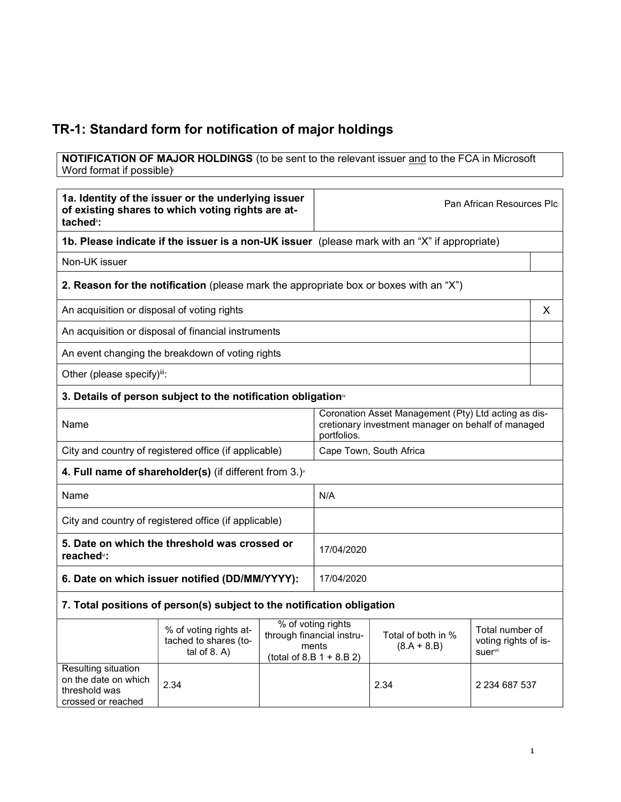## TR-1: Standard form for notification of major holdings

crossed or reached

**NOTIFICATION OF MAJOR HOLDINGS** (to be sent to the relevant issuer and to the FCA in Microsoft Word format if possible)

| 1a. Identity of the issuer or the underlying issuer<br>of existing shares to which voting rights are at-<br>tached <sup>"</sup> : |                                                                                               |  | Pan African Resources Plc                                                                                                 |                                     |                                                    |   |
|-----------------------------------------------------------------------------------------------------------------------------------|-----------------------------------------------------------------------------------------------|--|---------------------------------------------------------------------------------------------------------------------------|-------------------------------------|----------------------------------------------------|---|
|                                                                                                                                   | 1b. Please indicate if the issuer is a non-UK issuer (please mark with an "X" if appropriate) |  |                                                                                                                           |                                     |                                                    |   |
| Non-UK issuer                                                                                                                     |                                                                                               |  |                                                                                                                           |                                     |                                                    |   |
| 2. Reason for the notification (please mark the appropriate box or boxes with an "X")                                             |                                                                                               |  |                                                                                                                           |                                     |                                                    |   |
| An acquisition or disposal of voting rights                                                                                       |                                                                                               |  |                                                                                                                           |                                     |                                                    | X |
|                                                                                                                                   | An acquisition or disposal of financial instruments                                           |  |                                                                                                                           |                                     |                                                    |   |
|                                                                                                                                   | An event changing the breakdown of voting rights                                              |  |                                                                                                                           |                                     |                                                    |   |
| Other (please specify)iii:                                                                                                        |                                                                                               |  |                                                                                                                           |                                     |                                                    |   |
| 3. Details of person subject to the notification obligation <sup>*</sup>                                                          |                                                                                               |  |                                                                                                                           |                                     |                                                    |   |
| Name                                                                                                                              |                                                                                               |  | Coronation Asset Management (Pty) Ltd acting as dis-<br>cretionary investment manager on behalf of managed<br>portfolios. |                                     |                                                    |   |
| City and country of registered office (if applicable)                                                                             |                                                                                               |  | Cape Town, South Africa                                                                                                   |                                     |                                                    |   |
| 4. Full name of shareholder(s) (if different from $3.$ ) $\sqrt{ }$                                                               |                                                                                               |  |                                                                                                                           |                                     |                                                    |   |
| Name                                                                                                                              |                                                                                               |  | N/A                                                                                                                       |                                     |                                                    |   |
| City and country of registered office (if applicable)                                                                             |                                                                                               |  |                                                                                                                           |                                     |                                                    |   |
| 5. Date on which the threshold was crossed or<br>reached <sup>v</sup> :                                                           |                                                                                               |  | 17/04/2020                                                                                                                |                                     |                                                    |   |
| 6. Date on which issuer notified (DD/MM/YYYY):                                                                                    |                                                                                               |  | 17/04/2020                                                                                                                |                                     |                                                    |   |
|                                                                                                                                   | 7. Total positions of person(s) subject to the notification obligation                        |  |                                                                                                                           |                                     |                                                    |   |
|                                                                                                                                   | % of voting rights at-<br>tached to shares (to-<br>tal of $8. A$ )                            |  | % of voting rights<br>through financial instru-<br>ments<br>(total of 8.B $1 + 8.B 2$ )                                   | Total of both in %<br>$(8.A + 8.B)$ | Total number of<br>voting rights of is-<br>suervii |   |
| Resulting situation<br>on the date on which<br>threshold was                                                                      | 2.34                                                                                          |  | 2.34                                                                                                                      | 2 234 687 537                       |                                                    |   |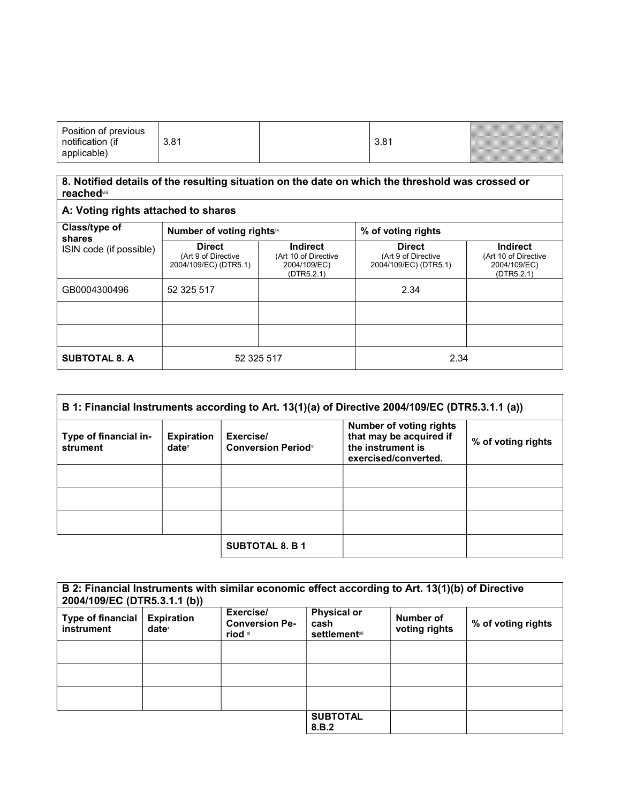| Position of previous<br>notification (if<br>applicable) | 3.81 |  | 3.81 |  |
|---------------------------------------------------------|------|--|------|--|
|---------------------------------------------------------|------|--|------|--|

## 8. Notified details of the resulting situation on the date on which the threshold was crossed or reachedviii

| Class/type of<br>shares | Number of voting rightsix                                     |                                                                       | % of voting rights                                            |                                                                       |
|-------------------------|---------------------------------------------------------------|-----------------------------------------------------------------------|---------------------------------------------------------------|-----------------------------------------------------------------------|
| ISIN code (if possible) | <b>Direct</b><br>(Art 9 of Directive<br>2004/109/EC) (DTR5.1) | <b>Indirect</b><br>(Art 10 of Directive<br>2004/109/EC)<br>(DTR5.2.1) | <b>Direct</b><br>(Art 9 of Directive<br>2004/109/EC) (DTR5.1) | <b>Indirect</b><br>(Art 10 of Directive<br>2004/109/EC)<br>(DTR5.2.1) |
| GB0004300496            | 52 325 517                                                    |                                                                       | 2.34                                                          |                                                                       |
|                         |                                                               |                                                                       |                                                               |                                                                       |
|                         |                                                               |                                                                       |                                                               |                                                                       |
| <b>SUBTOTAL 8. A</b>    | 52 325 517                                                    |                                                                       | 2.34                                                          |                                                                       |

| B 1: Financial Instruments according to Art. 13(1)(a) of Directive 2004/109/EC (DTR5.3.1.1 (a)) |                                      |                                          |                                                                                                        |                    |
|-------------------------------------------------------------------------------------------------|--------------------------------------|------------------------------------------|--------------------------------------------------------------------------------------------------------|--------------------|
| Type of financial in-<br>strument                                                               | <b>Expiration</b><br>$date^{\times}$ | Exercise/<br><b>Conversion Period</b> xi | <b>Number of voting rights</b><br>that may be acquired if<br>the instrument is<br>exercised/converted. | % of voting rights |
|                                                                                                 |                                      |                                          |                                                                                                        |                    |
|                                                                                                 |                                      |                                          |                                                                                                        |                    |
|                                                                                                 |                                      |                                          |                                                                                                        |                    |
|                                                                                                 |                                      | <b>SUBTOTAL 8. B 1</b>                   |                                                                                                        |                    |

| B 2: Financial Instruments with similar economic effect according to Art. 13(1)(b) of Directive<br>2004/109/EC (DTR5.3.1.1 (b)) |                                      |                                               |                                                     |                            |                    |
|---------------------------------------------------------------------------------------------------------------------------------|--------------------------------------|-----------------------------------------------|-----------------------------------------------------|----------------------------|--------------------|
| Type of financial<br>instrument                                                                                                 | <b>Expiration</b><br>$date^{\times}$ | Exercise/<br><b>Conversion Pe-</b><br>riod xi | <b>Physical or</b><br>cash<br><b>settlement</b> xii | Number of<br>voting rights | % of voting rights |
|                                                                                                                                 |                                      |                                               |                                                     |                            |                    |
|                                                                                                                                 |                                      |                                               |                                                     |                            |                    |
|                                                                                                                                 |                                      |                                               |                                                     |                            |                    |
|                                                                                                                                 |                                      |                                               | <b>SUBTOTAL</b><br>8.B.2                            |                            |                    |